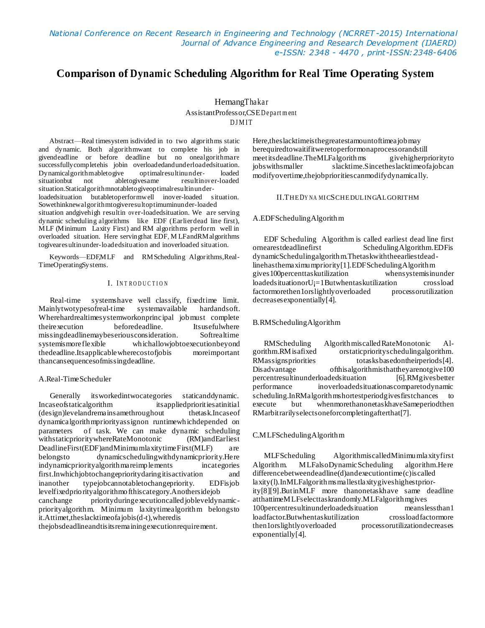*National Conference on Recent Research in Engineering and Technology (NCRRET -2015) International Journal of Advance Engineering and Research Development (IJAERD) e-ISSN: 2348 - 4470 , print-ISSN:2348-6406*

# **Comparison of Dynamic Scheduling Algorithm for Real Time Operating System**

HemangThakar AssistantProfessor,CSED e pa rt m ent D J M I T

Abstract—Real timesystem isdivided in to two algorithms static and dynamic. Both algorithmwant to complete his job in givendeadline or before deadline but no onealgorithmare successfullycompletehis jobin overloadedandunderloadedsituation. Dynamicalgorithmabletogive optimalresultinunder- loaded not abletogivesame resultinover-loaded situation.Staticalgorithmnotabletogiveoptimalresultinunderloadedsituation butabletoperformwell inover-loaded situation. Sowethinknewalgorithmtogiveresultoptimuminunder-loaded situation andgivehigh resultin over-loadedsituation. We are serving dynamic scheduling algorithms like EDF (Earlierdead line first), MLF (Minimum Laxity First) and RM algorithms perform well in overloaded situation. Here servingthat EDF, M LFandRMalgorithms togivearesultinunder-loadedsituation and inoverloaded situation.

Keywords—EDF,MLF and RMScheduling Algorithms,Real-TimeOperatingSystems.

## I. INTRODUCTION

Real-time systemshave well classify, fixedtime limit.<br>inlytwotypesofreal-time systemavailable hardandsoft. Mainlytwotypesofreal-time systemavailable hardandsoft. Wherehardrealtimesystemworkonprincipal jobmust complete theirexecution beforedeadline. Itsusefulwhere missingdeadlinemaybeseriousconsideration. Softrealtime systemismoreflexible whichallowjobtoexecutionbeyond thedeadline.Itsapplicablewherecostofjobis moreimportant thancansequencesofmissingdeadline.

#### A.Real-TimeScheduler

Generally itsworkedintwocategories staticanddynamic. Incaseofstaticalgorithm itsappliedprioritiesatinitial (design)levelandremainsamethroughout thetask.Incaseof dynamicalgorithmpriorityassignon runtimewhichdepended on parameters of task. We can make dynamic scheduling withstaticprioritywhereRateMonotonic (RM)andEarliest DeadlineFirst(EDF)andMinimumlaxitytimeFirst(MLF) are belongsto dynamicschedulingwithdynamicpriority.Here indynamicpriorityalgorithmareimplements incategories first.Inwhichjobtochangeprioritydaringitisactivation and inanother typejobcannotabletochangepriority. EDFisjob levelfixedpriorityalgorithmofthiscategory.Anothersidejob canchange priorityduringexecutioncalledjobleveldynamicpriorityalgorithm. Minimum laxitytimealgorithm belongsto it.Attimet,theslacktimeofajobis(d-t),wheredis

thejobsdeadlineandtisitsremainingexecutionrequirement.

Here,theslacktimeisthegreatestamountoftimeajobmay berequiredtowaitifitweretoperformonaprocessorandstill meetitsdeadline.TheMLFalgorithms givehigherpriorityto jobswithsmaller slacktime.Sincetheslacktimeofajobcan modifyovertime,thejobprioritiescanmodifydynamically.

# II.THED<sup>Y</sup> NA MICSCHEDULINGALGORITHM

#### A.EDFSchedulingAlgorithm

EDF Scheduling Algorithm is called earliest dead line first ornearestdeadlinefirst SchedulingAlgorithm.EDFis dynamicSchedulingalgorithm.Thetaskwiththeearliestdeadlinehasthemaximumpriority[1].EDFSchedulingAlgorithm gives100percenttaskutilization whensystemisinunder loadedsituationorU¡=1Butwhentaskutilization crossload factormorethen1orslightlyoverloaded processorutilization decreasesexponentially[4].

#### B.RMSchedulingAlgorithm

RMScheduling AlgorithmiscalledRateMonotonic Algorithm.RMisafixed orstaticpriorityschedulingalgorithm. RMassignspriorities totasksbasedontheirperiods[4]. Disadvantage ofthisalgorithmisthattheyarenotgive100 percentresultinunderloadedsituation [6].RMgivesbetter performance inoverloadedsituationascomparetodynamic scheduling.InRMalgorithmshortestperiodgivesfirstchances to execute but whenmorethanonetaskhaveSameperiodthen RMarbitrarilyselectsoneforcompletingafterthat[7].

#### C.MLFSchedulingAlgorithm

MLFScheduling AlgorithmiscalledMinimumlaxityfirst Algorithm. MLFalsoDynamicScheduling algorithm.Here differencebetweendeadline(d)andexecutiontime(c)iscalled laxity(l).InMLFalgorithmsmallestlaxitygiveshighestpriority[8][9].ButinMLF more thanonetaskhave same deadline atthattimeMLFselecttaskrandomly.MLFalgorithmgives 100percentresultinunderloadedsituation meanslessthan1 loadfactor.Butwhentaskutilization crossloadfactormore processorutilizationdecreases exponentially[4].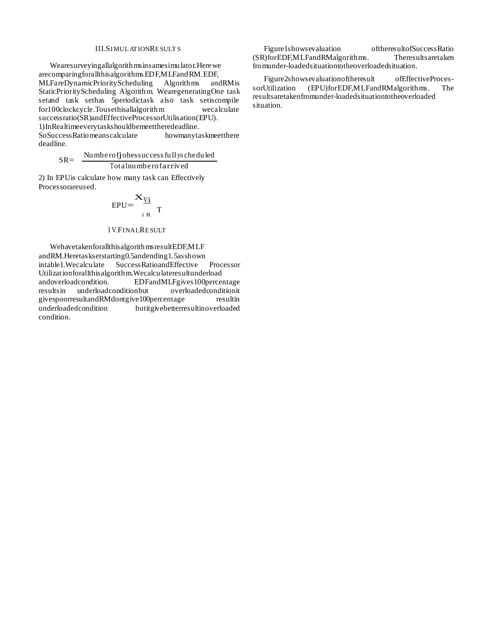# **III.SIMULATIONRESULTS**

Wearesurveyingallalgorith msinsamesimulator. Here we arecomparing for all this algorithms EDF, MLF and RM. EDF, MLFareDynamicPriorityScheduling Algorithms andRM is StaticPriorityScheduling Algorithm. WearegeneratingOne task setand task sethas 5periodictask also task setiscompile for100clockcycle.Tousethisallalgorithm wecalculate successratio(SR)andEffectiveProcessorUtilisation(EPU). 1) In Realtimeevery tasks hould be meet the redeadline. SoSuccessRatio meanscalculate howmanytaskmeetthere deadline.

Numberofiobes success fully scheduled  $SR =$ 

$$
K = \frac{1}{\text{Total number of arrive}}
$$

2) In EPU is calculate how many task can Effectively Processorareused.

$$
EPU = \frac{\mathbf{X}_{Vi}}{i \, R} \, T
$$

#### **IV.FINALRESULT**

Wehavetakenforallthis algorithms resultEDF, MLF andRM.Heretasksetstarting0.5andending1.5asshown intable 1. Wecalculate Success Ratio and Effective Processor Utilizationforallthis algorithm. Wecalculateres ultunderload EDFandMLFgives 100percentage andoverloadcondition. overloadedconditionit resultsin underloadconditionbut givespoorresultandRMdontgive100percentage resultin underloadedcondition butitgivebetterresultinoverloaded condition

Figure1showsevaluation oftheresultofSuccessRatio (SR)forEDF, MLFandRMalgorithms. Theresultsaretaken fromunder-loadedsituationtotheoverloadedsituation.

Figure2showsevaluationoftheresult ofEffectiveProces-(EPU)forEDF,MLFandRMalgorithms. sorUtilization The results are taken from under-loaded situation to the overloaded situation.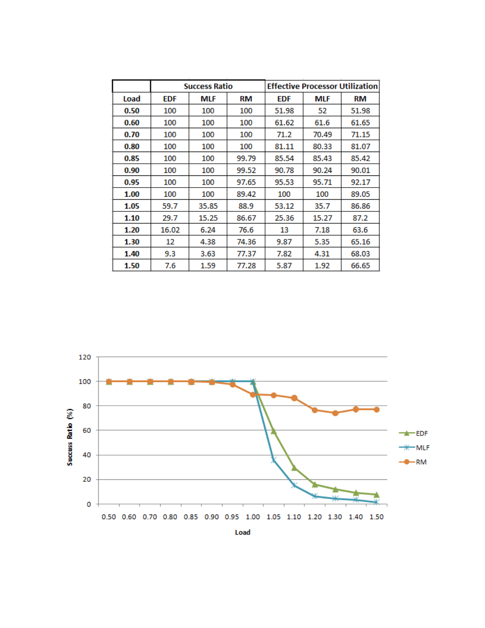|      | <b>Success Ratio</b> |            |       | <b>Effective Processor Utilization</b> |            |       |
|------|----------------------|------------|-------|----------------------------------------|------------|-------|
| Load | <b>EDF</b>           | <b>MLF</b> | RM    | <b>EDF</b>                             | <b>MLF</b> | RM    |
| 0.50 | 100                  | 100        | 100   | 51.98                                  | 52         | 51.98 |
| 0.60 | 100                  | 100        | 100   | 61.62                                  | 61.6       | 61.65 |
| 0.70 | 100                  | 100        | 100   | 71.2                                   | 70.49      | 71.15 |
| 0.80 | 100                  | 100        | 100   | 81.11                                  | 80.33      | 81.07 |
| 0.85 | 100                  | 100        | 99.79 | 85.54                                  | 85.43      | 85.42 |
| 0.90 | 100                  | 100        | 99.52 | 90.78                                  | 90.24      | 90.01 |
| 0.95 | 100                  | 100        | 97.65 | 95.53                                  | 95.71      | 92.17 |
| 1.00 | 100                  | 100        | 89.42 | 100                                    | 100        | 89.05 |
| 1.05 | 59.7                 | 35.85      | 88.9  | 53.12                                  | 35.7       | 86.86 |
| 1.10 | 29.7                 | 15.25      | 86.67 | 25.36                                  | 15.27      | 87.2  |
| 1.20 | 16.02                | 6.24       | 76.6  | 13                                     | 7.18       | 63.6  |
| 1.30 | 12                   | 4.38       | 74.36 | 9.87                                   | 5.35       | 65.16 |
| 1.40 | 9.3                  | 3.63       | 77.37 | 7.82                                   | 4.31       | 68.03 |
| 1.50 | 7.6                  | 1.59       | 77.28 | 5.87                                   | 1.92       | 66.65 |



Load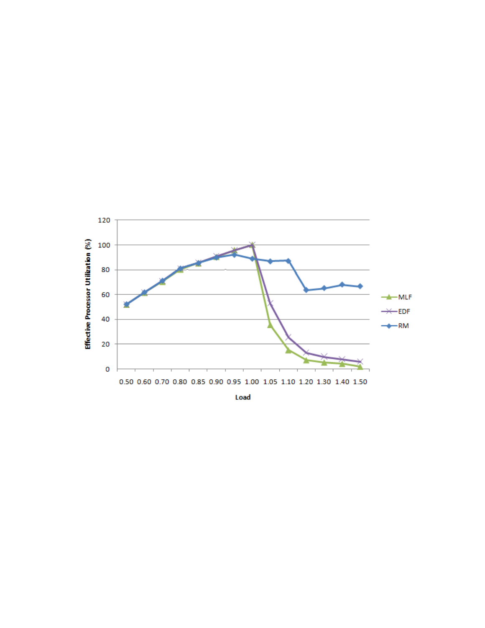

Load